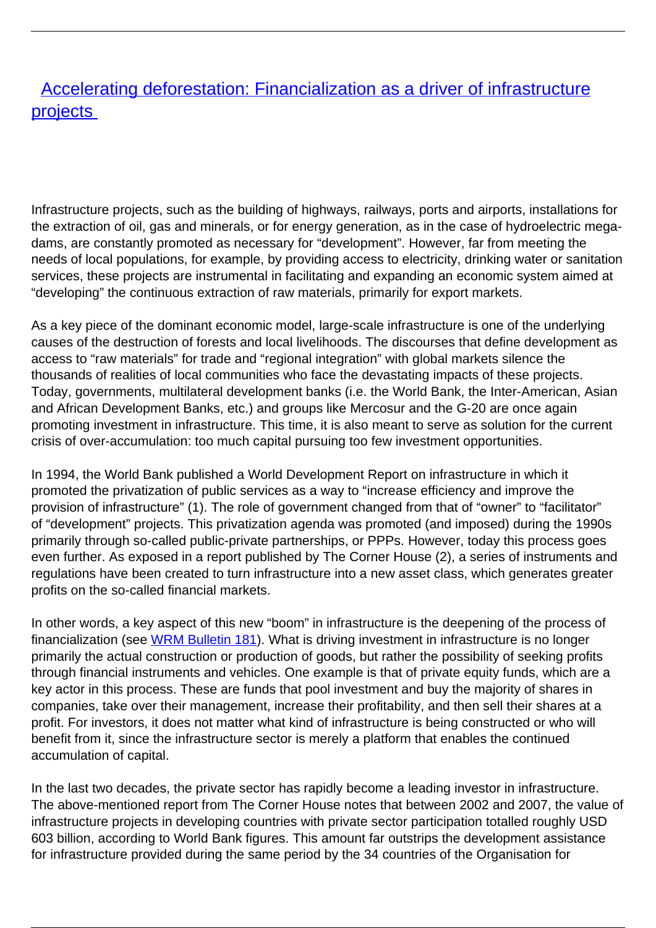## [Accelerating deforestation: Financialization as a driver of infrastructure](/bulletin-articles/accelerating-deforestation-financialization-as-a-driver-of-infrastructure-projects) [projects](/bulletin-articles/accelerating-deforestation-financialization-as-a-driver-of-infrastructure-projects)

Infrastructure projects, such as the building of highways, railways, ports and airports, installations for the extraction of oil, gas and minerals, or for energy generation, as in the case of hydroelectric megadams, are constantly promoted as necessary for "development". However, far from meeting the needs of local populations, for example, by providing access to electricity, drinking water or sanitation services, these projects are instrumental in facilitating and expanding an economic system aimed at "developing" the continuous extraction of raw materials, primarily for export markets.

As a key piece of the dominant economic model, large-scale infrastructure is one of the underlying causes of the destruction of forests and local livelihoods. The discourses that define development as access to "raw materials" for trade and "regional integration" with global markets silence the thousands of realities of local communities who face the devastating impacts of these projects. Today, governments, multilateral development banks (i.e. the World Bank, the Inter-American, Asian and African Development Banks, etc.) and groups like Mercosur and the G-20 are once again promoting investment in infrastructure. This time, it is also meant to serve as solution for the current crisis of over-accumulation: too much capital pursuing too few investment opportunities.

In 1994, the World Bank published a World Development Report on infrastructure in which it promoted the privatization of public services as a way to "increase efficiency and improve the provision of infrastructure" (1). The role of government changed from that of "owner" to "facilitator" of "development" projects. This privatization agenda was promoted (and imposed) during the 1990s primarily through so-called public-private partnerships, or PPPs. However, today this process goes even further. As exposed in a report published by The Corner House (2), a series of instruments and regulations have been created to turn infrastructure into a new asset class, which generates greater profits on the so-called financial markets.

In other words, a key aspect of this new "boom" in infrastructure is the deepening of the process of financialization (see [WRM Bulletin 181](http://wrm.org.uy/bulletins/issue-181/)). What is driving investment in infrastructure is no longer primarily the actual construction or production of goods, but rather the possibility of seeking profits through financial instruments and vehicles. One example is that of private equity funds, which are a key actor in this process. These are funds that pool investment and buy the majority of shares in companies, take over their management, increase their profitability, and then sell their shares at a profit. For investors, it does not matter what kind of infrastructure is being constructed or who will benefit from it, since the infrastructure sector is merely a platform that enables the continued accumulation of capital.

In the last two decades, the private sector has rapidly become a leading investor in infrastructure. The above-mentioned report from The Corner House notes that between 2002 and 2007, the value of infrastructure projects in developing countries with private sector participation totalled roughly USD 603 billion, according to World Bank figures. This amount far outstrips the development assistance for infrastructure provided during the same period by the 34 countries of the Organisation for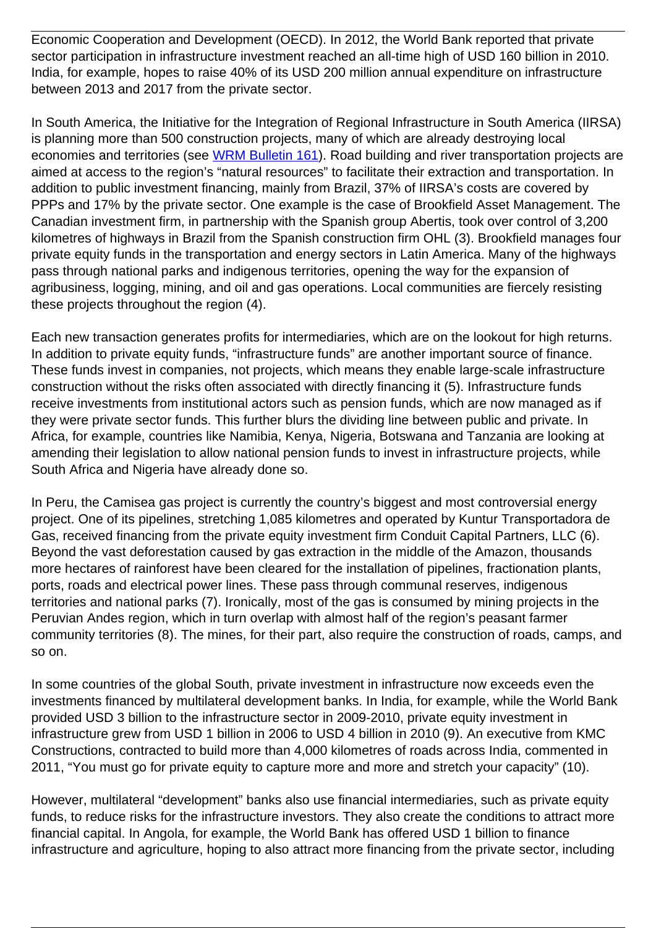Economic Cooperation and Development (OECD). In 2012, the World Bank reported that private sector participation in infrastructure investment reached an all-time high of USD 160 billion in 2010. India, for example, hopes to raise 40% of its USD 200 million annual expenditure on infrastructure between 2013 and 2017 from the private sector.

In South America, the Initiative for the Integration of Regional Infrastructure in South America (IIRSA) is planning more than 500 construction projects, many of which are already destroying local economies and territories (see [WRM Bulletin 161](http://wrm.org.uy/articles-from-the-wrm-bulletin/section2/amazon-basin-iirsa-opens-the-way-for-rainforest-invasion/)). Road building and river transportation projects are aimed at access to the region's "natural resources" to facilitate their extraction and transportation. In addition to public investment financing, mainly from Brazil, 37% of IIRSA's costs are covered by PPPs and 17% by the private sector. One example is the case of Brookfield Asset Management. The Canadian investment firm, in partnership with the Spanish group Abertis, took over control of 3,200 kilometres of highways in Brazil from the Spanish construction firm OHL (3). Brookfield manages four private equity funds in the transportation and energy sectors in Latin America. Many of the highways pass through national parks and indigenous territories, opening the way for the expansion of agribusiness, logging, mining, and oil and gas operations. Local communities are fiercely resisting these projects throughout the region (4).

Each new transaction generates profits for intermediaries, which are on the lookout for high returns. In addition to private equity funds, "infrastructure funds" are another important source of finance. These funds invest in companies, not projects, which means they enable large-scale infrastructure construction without the risks often associated with directly financing it (5). Infrastructure funds receive investments from institutional actors such as pension funds, which are now managed as if they were private sector funds. This further blurs the dividing line between public and private. In Africa, for example, countries like Namibia, Kenya, Nigeria, Botswana and Tanzania are looking at amending their legislation to allow national pension funds to invest in infrastructure projects, while South Africa and Nigeria have already done so.

In Peru, the Camisea gas project is currently the country's biggest and most controversial energy project. One of its pipelines, stretching 1,085 kilometres and operated by Kuntur Transportadora de Gas, received financing from the private equity investment firm Conduit Capital Partners, LLC (6). Beyond the vast deforestation caused by gas extraction in the middle of the Amazon, thousands more hectares of rainforest have been cleared for the installation of pipelines, fractionation plants, ports, roads and electrical power lines. These pass through communal reserves, indigenous territories and national parks (7). Ironically, most of the gas is consumed by mining projects in the Peruvian Andes region, which in turn overlap with almost half of the region's peasant farmer community territories (8). The mines, for their part, also require the construction of roads, camps, and so on.

In some countries of the global South, private investment in infrastructure now exceeds even the investments financed by multilateral development banks. In India, for example, while the World Bank provided USD 3 billion to the infrastructure sector in 2009-2010, private equity investment in infrastructure grew from USD 1 billion in 2006 to USD 4 billion in 2010 (9). An executive from KMC Constructions, contracted to build more than 4,000 kilometres of roads across India, commented in 2011, "You must go for private equity to capture more and more and stretch your capacity" (10).

However, multilateral "development" banks also use financial intermediaries, such as private equity funds, to reduce risks for the infrastructure investors. They also create the conditions to attract more financial capital. In Angola, for example, the World Bank has offered USD 1 billion to finance infrastructure and agriculture, hoping to also attract more financing from the private sector, including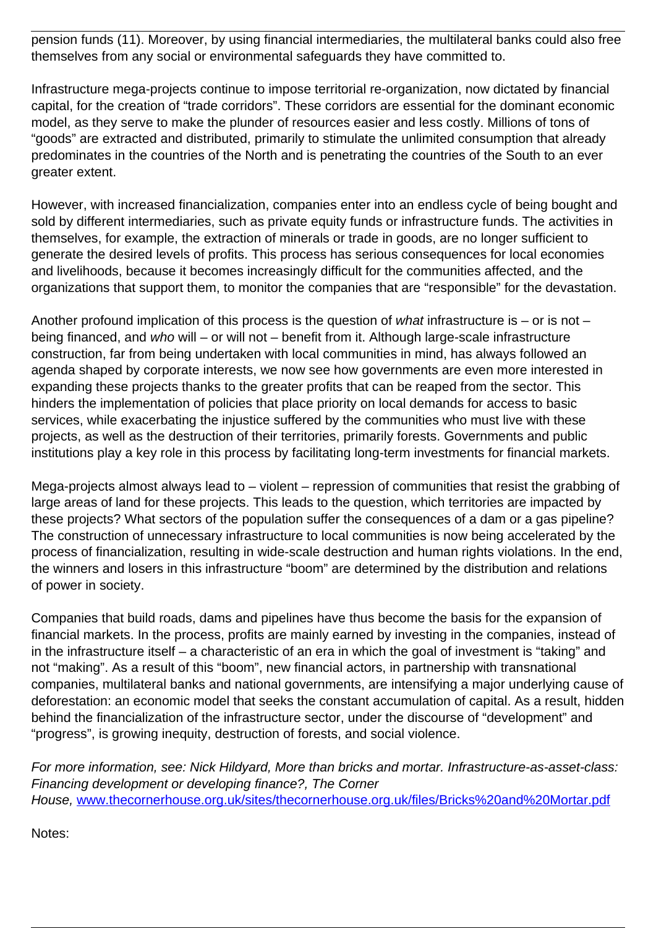pension funds (11). Moreover, by using financial intermediaries, the multilateral banks could also free themselves from any social or environmental safeguards they have committed to.

Infrastructure mega-projects continue to impose territorial re-organization, now dictated by financial capital, for the creation of "trade corridors". These corridors are essential for the dominant economic model, as they serve to make the plunder of resources easier and less costly. Millions of tons of "goods" are extracted and distributed, primarily to stimulate the unlimited consumption that already predominates in the countries of the North and is penetrating the countries of the South to an ever greater extent.

However, with increased financialization, companies enter into an endless cycle of being bought and sold by different intermediaries, such as private equity funds or infrastructure funds. The activities in themselves, for example, the extraction of minerals or trade in goods, are no longer sufficient to generate the desired levels of profits. This process has serious consequences for local economies and livelihoods, because it becomes increasingly difficult for the communities affected, and the organizations that support them, to monitor the companies that are "responsible" for the devastation.

Another profound implication of this process is the question of what infrastructure is  $-$  or is not  $$ being financed, and who will – or will not – benefit from it. Although large-scale infrastructure construction, far from being undertaken with local communities in mind, has always followed an agenda shaped by corporate interests, we now see how governments are even more interested in expanding these projects thanks to the greater profits that can be reaped from the sector. This hinders the implementation of policies that place priority on local demands for access to basic services, while exacerbating the injustice suffered by the communities who must live with these projects, as well as the destruction of their territories, primarily forests. Governments and public institutions play a key role in this process by facilitating long-term investments for financial markets.

Mega-projects almost always lead to – violent – repression of communities that resist the grabbing of large areas of land for these projects. This leads to the question, which territories are impacted by these projects? What sectors of the population suffer the consequences of a dam or a gas pipeline? The construction of unnecessary infrastructure to local communities is now being accelerated by the process of financialization, resulting in wide-scale destruction and human rights violations. In the end, the winners and losers in this infrastructure "boom" are determined by the distribution and relations of power in society.

Companies that build roads, dams and pipelines have thus become the basis for the expansion of financial markets. In the process, profits are mainly earned by investing in the companies, instead of in the infrastructure itself – a characteristic of an era in which the goal of investment is "taking" and not "making". As a result of this "boom", new financial actors, in partnership with transnational companies, multilateral banks and national governments, are intensifying a major underlying cause of deforestation: an economic model that seeks the constant accumulation of capital. As a result, hidden behind the financialization of the infrastructure sector, under the discourse of "development" and "progress", is growing inequity, destruction of forests, and social violence.

For more information, see: Nick Hildyard, More than bricks and mortar. Infrastructure-as-asset-class: Financing development or developing finance?, The Corner House, [www.thecornerhouse.org.uk/sites/thecornerhouse.org.uk/files/Bricks%20and%20Mortar.pdf](http://www.thecornerhouse.org.uk/sites/thecornerhouse.org.uk/files/Bricks%20and%20Mortar.pdf)

Notes: